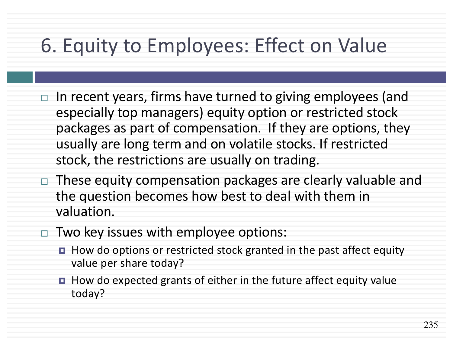## 6. Equity to Employees: Effect on Value

- $\Box$  In recent years, firms have turned to giving employees (and especially top managers) equity option or restricted stock packages as part of compensation. If they are options, they usually are long term and on volatile stocks. If restricted stock, the restrictions are usually on trading.
- $\Box$  These equity compensation packages are clearly valuable and the question becomes how best to deal with them in valuation.
- $\Box$  Two key issues with employee options:
	- How do options or restricted stock granted in the past affect equity value per share today?
	- $\blacksquare$  How do expected grants of either in the future affect equity value today?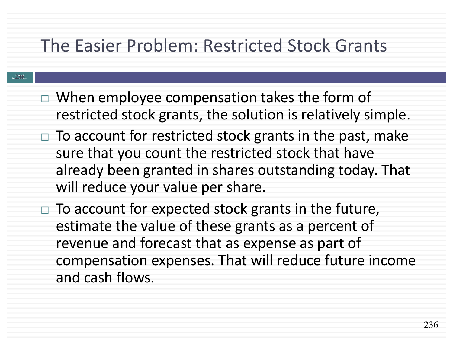### The Easier Problem: Restricted Stock Grants

#### **Aswath Damodaran 236**

- $\Box$  When employee compensation takes the form of restricted stock grants, the solution is relatively simple.
- $\Box$  To account for restricted stock grants in the past, make sure that you count the restricted stock that have already been granted in shares outstanding today. That will reduce your value per share.
- $\Box$  To account for expected stock grants in the future, estimate the value of these grants as a percent of revenue and forecast that as expense as part of compensation expenses. That will reduce future income and cash flows.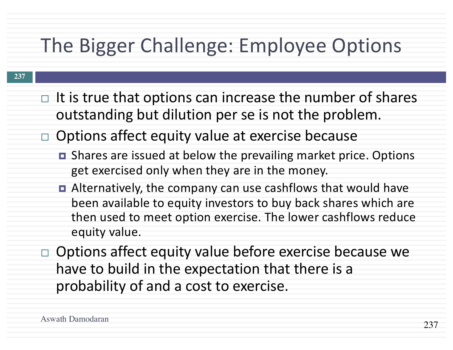# The Bigger Challenge: Employee Options

- $\Box$  It is true that options can increase the number of shares outstanding but dilution per se is not the problem.
- $\Box$  Options affect equity value at exercise because
	- Shares are issued at below the prevailing market price. Options get exercised only when they are in the money.
	- Alternatively, the company can use cashflows that would have been available to equity investors to buy back shares which are then used to meet option exercise. The lower cashflows reduce equity value.
- $\Box$  Options affect equity value before exercise because we have to build in the expectation that there is a probability of and a cost to exercise.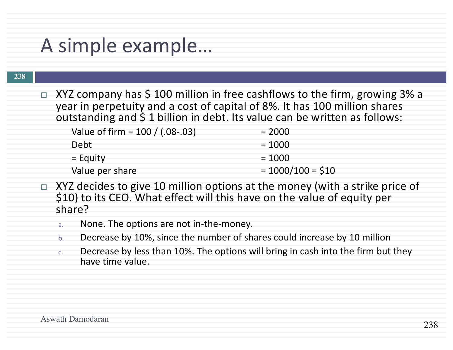### A simple example...

#### **238**

 $\Box$  XYZ company has \$ 100 million in free cashflows to the firm, growing 3% a year in perpetuity and a cost of capital of 8%. It has 100 million shares outstanding and  $\frac{2}{3}$  1 billion in debt. Its value can be written as follows:

| Value of firm = $100 / (.08-.03)$ | $= 2000$           |
|-----------------------------------|--------------------|
| Debt                              | $= 1000$           |
| $=$ Equity                        | $= 1000$           |
| Value per share                   | $= 1000/100 = $10$ |

- $\Box$  XYZ decides to give 10 million options at the money (with a strike price of \$10) to its CEO. What effect will this have on the value of equity per share?
	- a. None. The options are not in-the-money.
	- b. Decrease by 10%, since the number of shares could increase by 10 million
	- c. Decrease by less than 10%. The options will bring in cash into the firm but they have time value.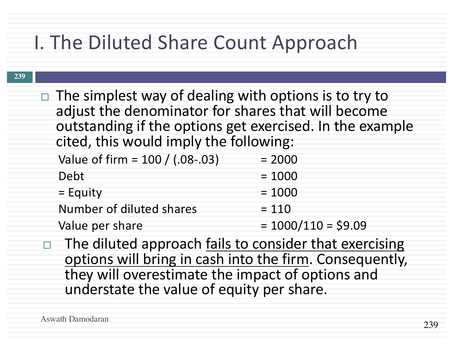## I. The Diluted Share Count Approach

 $\Box$  The simplest way of dealing with options is to try to adjust the denominator for shares that will become outstanding if the options get exercised. In the example cited, this would imply the following:

| Value of firm = $100 / (.08-.03)$ | $= 2000$             |
|-----------------------------------|----------------------|
| Debt                              | $= 1000$             |
| $=$ Equity                        | $= 1000$             |
| Number of diluted shares          | $= 110$              |
| Value per share                   | $= 1000/110 = $9.09$ |

 $\Box$  The diluted approach fails to consider that exercising options will bring in cash into the firm. Consequently, they will overestimate the impact of options and understate the value of equity per share.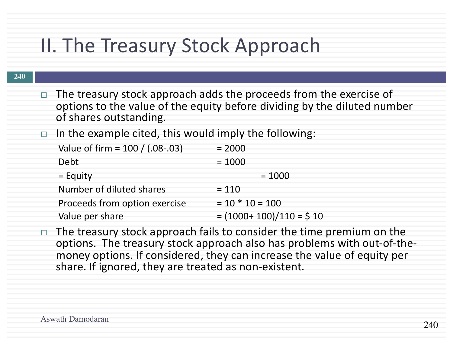## II. The Treasury Stock Approach

#### **240**

- $\Box$  The treasury stock approach adds the proceeds from the exercise of options to the value of the equity before dividing by the diluted number of shares outstanding.
- $\Box$  In the example cited, this would imply the following:

| Value of firm = $100 / (.08-.03)$ | $= 2000$                 |
|-----------------------------------|--------------------------|
| Debt                              | $= 1000$                 |
| $=$ Equity                        | $= 1000$                 |
| Number of diluted shares          | $= 110$                  |
| Proceeds from option exercise     | $= 10 * 10 = 100$        |
| Value per share                   | $= (1000+100)/110 = $10$ |

 $\Box$  The treasury stock approach fails to consider the time premium on the options. The treasury stock approach also has problems with out-of-the-<br>money options. If considered, they can increase the value of equity per share. If ignored, they are treated as non-existent.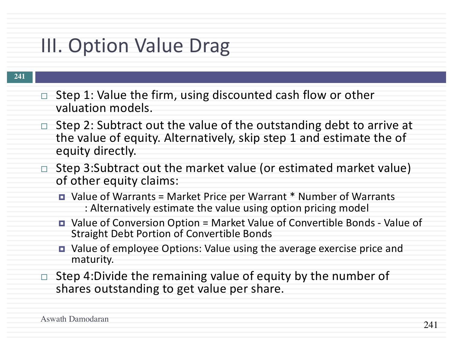# III. Option Value Drag

- Step 1: Value the firm, using discounted cash flow or other valuation models.
- $\Box$  Step 2: Subtract out the value of the outstanding debt to arrive at the value of equity. Alternatively, skip step 1 and estimate the of equity directly.
- $\Box$  Step 3:Subtract out the market value (or estimated market value) of other equity claims:
	- Value of Warrants = Market Price per Warrant  $*$  Number of Warrants : Alternatively estimate the value using option pricing model
	- Value of Conversion Option = Market Value of Convertible Bonds Value of Straight Debt Portion of Convertible Bonds
	- Value of employee Options: Value using the average exercise price and maturity.
- $\Box$  Step 4:Divide the remaining value of equity by the number of shares outstanding to get value per share.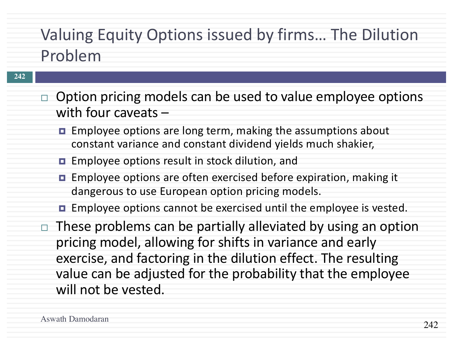## Valuing Equity Options issued by firms... The Dilution Problem

- $\Box$  Option pricing models can be used to value employee options with four caveats  $-$ 
	- **□** Employee options are long term, making the assumptions about constant variance and constant dividend yields much shakier,
	- Employee options result in stock dilution, and
	- Employee options are often exercised before expiration, making it dangerous to use European option pricing models.
	- $\blacksquare$  Employee options cannot be exercised until the employee is vested.
- $\Box$  These problems can be partially alleviated by using an option pricing model, allowing for shifts in variance and early exercise, and factoring in the dilution effect. The resulting value can be adjusted for the probability that the employee will not be vested.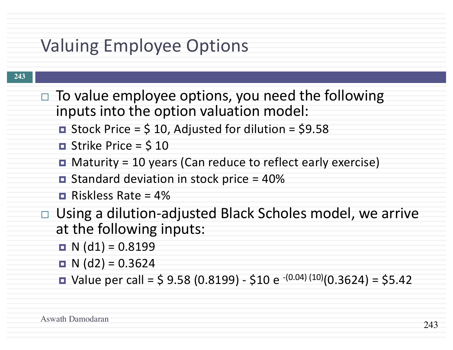### Valuing Employee Options

- $\Box$  To value employee options, you need the following inputs into the option valuation model:
	- $\blacksquare$  Stock Price = \$ 10, Adjusted for dilution = \$9.58
	- $\blacksquare$  Strike Price = \$10
	- $\blacksquare$  Maturity = 10 years (Can reduce to reflect early exercise)
	- $\blacksquare$  Standard deviation in stock price = 40%
	- $\blacksquare$  Riskless Rate = 4%
- $\Box$  Using a dilution-adjusted Black Scholes model, we arrive at the following inputs:
	- $\blacksquare$  N (d1) = 0.8199
	- $\blacksquare$  N (d2) = 0.3624
	- Value per call =  $$ 9.58 (0.8199) $10 e^{-(0.04)(10)}(0.3624) = $5.42$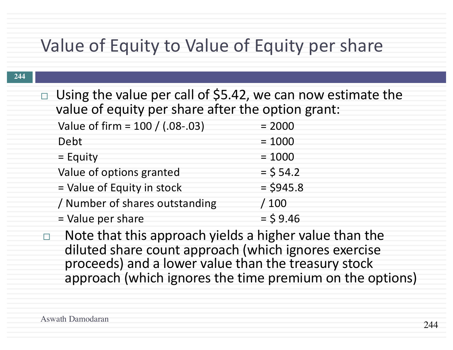### Value of Equity to Value of Equity per share

 $\Box$  Using the value per call of \$5.42, we can now estimate the value of equity per share after the option grant:

| Value of firm = 100 / (.08-.03) | $= 2000$    |
|---------------------------------|-------------|
| Debt                            | $= 1000$    |
| $=$ Equity                      | $= 1000$    |
| Value of options granted        | $=$ \$ 54.2 |
| = Value of Equity in stock      | $=$ \$945.8 |
| / Number of shares outstanding  | /100        |
| = Value per share               | $=$ \$9.46  |

 $\Box$  Note that this approach yields a higher value than the diluted share count approach (which ignores exercise proceeds) and a lower value than the treasury stock approach (which ignores the time premium on the options)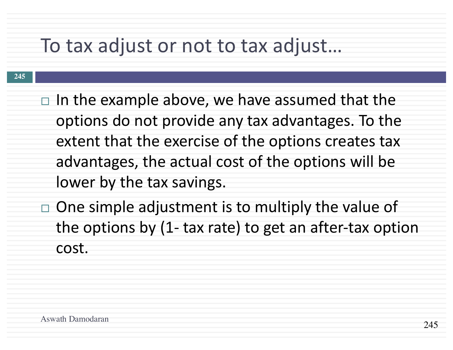## To tax adjust or not to tax adjust...

- **245**
- $\Box$  In the example above, we have assumed that the options do not provide any tax advantages. To the extent that the exercise of the options creates tax advantages, the actual cost of the options will be lower by the tax savings.
- $\Box$  One simple adjustment is to multiply the value of the options by  $(1-$  tax rate) to get an after-tax option cost.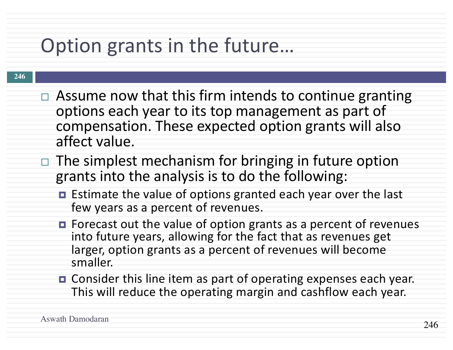# Option grants in the future...

- $\Box$  Assume now that this firm intends to continue granting options each year to its top management as part of compensation. These expected option grants will also affect value.
- $\Box$  The simplest mechanism for bringing in future option grants into the analysis is to do the following:
	- $\blacksquare$  Estimate the value of options granted each year over the last few years as a percent of revenues.
	- $\blacksquare$  Forecast out the value of option grants as a percent of revenues into future years, allowing for the fact that as revenues get larger, option grants as a percent of revenues will become smaller.
	- **□** Consider this line item as part of operating expenses each year. This will reduce the operating margin and cashflow each year.